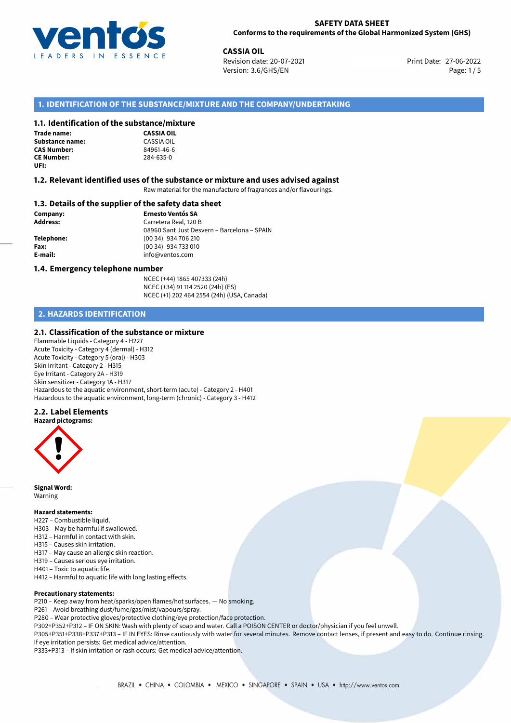

**CASSIA OIL**<br> **27-06-2022 Revision date: 20-07-2021** Print Date: 27-06-2022 Version: 3.6/GHS/EN Page: 1/5

# **1. IDENTIFICATION OF THE SUBSTANCE/MIXTURE AND THE COMPANY/UNDERTAKING**

#### **1.1. Identification of the substance/mixture**

| <b>Trade name:</b>     |
|------------------------|
| <b>Substance name:</b> |
| <b>CAS Number:</b>     |
| <b>CE Number:</b>      |
| UFI:                   |

**CASSIA OIL Substance name:** CASSIA OIL **CAS Number:** 84961-46-6 **CE Number:** 284-635-0

#### **1.2. Relevant identified uses of the substance or mixture and uses advised against**

Raw material for the manufacture of fragrances and/or flavourings.

#### **1.3. Details of the supplier of the safety data sheet**

**Company: Ernesto Ventós SA Address:** Carretera Real, 120 B 08960 Sant Just Desvern – Barcelona – SPAIN **Telephone:** (00 34) 934 706 210 **Fax:** (00 34) 934 733 010 **E-mail:** info@ventos.com

#### **1.4. Emergency telephone number**

NCEC (+44) 1865 407333 (24h) NCEC (+34) 91 114 2520 (24h) (ES) NCEC (+1) 202 464 2554 (24h) (USA, Canada)

# **2. HAZARDS IDENTIFICATION**

#### **2.1. Classification of the substance or mixture**

Flammable Liquids - Category 4 - H227 Acute Toxicity - Category 4 (dermal) - H312 Acute Toxicity - Category 5 (oral) - H303 Skin Irritant - Category 2 - H315 Eye Irritant - Category 2A - H319 Skin sensitizer - Category 1A - H317 Hazardous to the aquatic environment, short-term (acute) - Category 2 - H401 Hazardous to the aquatic environment, long-term (chronic) - Category 3 - H412

### **2.2. Label Elements**

#### **Hazard pictograms:**



**Signal Word:** Warning

#### **Hazard statements:**

- H227 Combustible liquid.
- H303 May be harmful if swallowed.
- H312 Harmful in contact with skin.
- H315 Causes skin irritation.
- H317 May cause an allergic skin reaction.
- H319 Causes serious eye irritation.
- H401 Toxic to aquatic life.
- H412 Harmful to aquatic life with long lasting effects.

#### **Precautionary statements:**

- P210 Keep away from heat/sparks/open flames/hot surfaces. No smoking.
- P261 Avoid breathing dust/fume/gas/mist/vapours/spray.
- P280 Wear protective gloves/protective clothing/eye protection/face protection.
- P302+P352+P312 IF ON SKIN: Wash with plenty of soap and water. Call a POISON CENTER or doctor/physician if you feel unwell.

P305+P351+P338+P337+P313 – IF IN EYES: Rinse cautiously with water for several minutes. Remove contact lenses, if present and easy to do. Continue rinsing. If eye irritation persists: Get medical advice/attention.

P333+P313 – If skin irritation or rash occurs: Get medical advice/attention.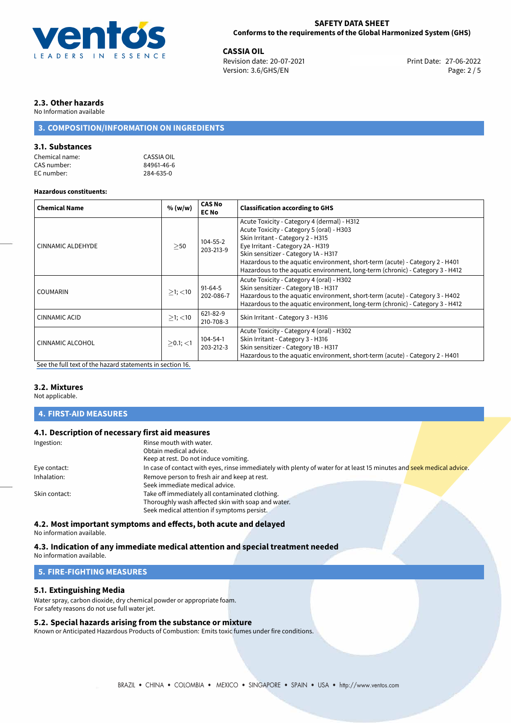

**CASSIA OIL**<br>
Revision date: 20-07-2021 **Print Date: 27-06-2022** Version: 3.6/GHS/EN Page: 2 / 5

# **2.3. Other hazards**

No Information available

# **3. COMPOSITION/INFORMATION ON INGREDIENTS**

### **3.1. Substances**

| Chemical name: | CASSIA OIL |
|----------------|------------|
| CAS number:    | 84961-46-6 |
| EC number:     | 284-635-0  |

#### **Hazardous constituents:**

| <b>Chemical Name</b>    | % (w/w)       | <b>CAS No</b><br><b>EC No</b> | <b>Classification according to GHS</b>                                                                                                                                                                                                                                                                                                                                      |
|-------------------------|---------------|-------------------------------|-----------------------------------------------------------------------------------------------------------------------------------------------------------------------------------------------------------------------------------------------------------------------------------------------------------------------------------------------------------------------------|
| CINNAMIC ALDEHYDE       | >50           | 104-55-2<br>203-213-9         | Acute Toxicity - Category 4 (dermal) - H312<br>Acute Toxicity - Category 5 (oral) - H303<br>Skin Irritant - Category 2 - H315<br>Eye Irritant - Category 2A - H319<br>Skin sensitizer - Category 1A - H317<br>Hazardous to the aquatic environment, short-term (acute) - Category 2 - H401<br>Hazardous to the aquatic environment, long-term (chronic) - Category 3 - H412 |
| <b>COUMARIN</b>         | $>1$ ; $<$ 10 | 91-64-5<br>202-086-7          | Acute Toxicity - Category 4 (oral) - H302<br>Skin sensitizer - Category 1B - H317<br>Hazardous to the aquatic environment, short-term (acute) - Category 3 - H402<br>Hazardous to the aquatic environment, long-term (chronic) - Category 3 - H412                                                                                                                          |
| CINNAMIC ACID           | $>1$ ; $<$ 10 | 621-82-9<br>210-708-3         | Skin Irritant - Category 3 - H316                                                                                                                                                                                                                                                                                                                                           |
| <b>CINNAMIC ALCOHOL</b> | $>0.1$ ; <1   | 104-54-1<br>203-212-3         | Acute Toxicity - Category 4 (oral) - H302<br>Skin Irritant - Category 3 - H316<br>Skin sensitizer - Category 1B - H317<br>Hazardous to the aquatic environment, short-term (acute) - Category 2 - H401                                                                                                                                                                      |

[See the full text of the hazard statements in section 16.](#page-4-0)

#### **3.2. Mixtures**

Not applicable.

#### **4. FIRST-AID MEASURES**

# **4.1. Description of necessary first aid measures**

| Ingestion:    | Rinse mouth with water.                                                                                               |
|---------------|-----------------------------------------------------------------------------------------------------------------------|
|               | Obtain medical advice.                                                                                                |
|               | Keep at rest. Do not induce vomiting.                                                                                 |
| Eye contact:  | In case of contact with eyes, rinse immediately with plenty of water for at least 15 minutes and seek medical advice. |
| Inhalation:   | Remove person to fresh air and keep at rest.                                                                          |
|               | Seek immediate medical advice.                                                                                        |
| Skin contact: | Take off immediately all contaminated clothing.                                                                       |
|               | Thoroughly wash affected skin with soap and water.                                                                    |
|               | Seek medical attention if symptoms persist.                                                                           |
|               |                                                                                                                       |

# **4.2. Most important symptoms and effects, both acute and delayed**

No information available.

#### **4.3. Indication of any immediate medical attention and special treatment needed**

No information available.

# **5. FIRE-FIGHTING MEASURES**

#### **5.1. Extinguishing Media**

Water spray, carbon dioxide, dry chemical powder or appropriate foam. For safety reasons do not use full water jet.

### **5.2. Special hazards arising from the substance or mixture**

Known or Anticipated Hazardous Products of Combustion: Emits toxic fumes under fire conditions.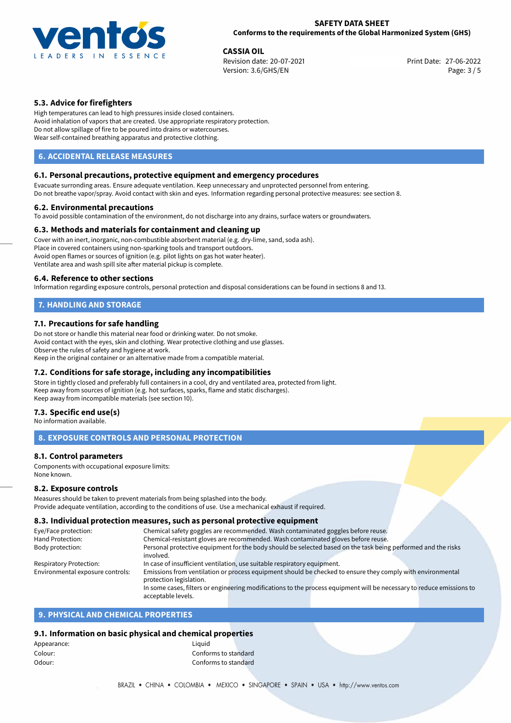

**CASSIA OIL**<br>
Revision date: 20-07-2021 **Print Date: 27-06-2022** Version: 3.6/GHS/EN Page: 3 / 5

# **5.3. Advice for firefighters**

High temperatures can lead to high pressures inside closed containers. Avoid inhalation of vapors that are created. Use appropriate respiratory protection. Do not allow spillage of fire to be poured into drains or watercourses. Wear self-contained breathing apparatus and protective clothing.

# **6. ACCIDENTAL RELEASE MEASURES**

# **6.1. Personal precautions, protective equipment and emergency procedures**

Evacuate surronding areas. Ensure adequate ventilation. Keep unnecessary and unprotected personnel from entering. Do not breathe vapor/spray. Avoid contact with skin and eyes. Information regarding personal protective measures: see section 8.

#### **6.2. Environmental precautions**

To avoid possible contamination of the environment, do not discharge into any drains, surface waters or groundwaters.

#### **6.3. Methods and materials for containment and cleaning up**

Cover with an inert, inorganic, non-combustible absorbent material (e.g. dry-lime, sand, soda ash). Place in covered containers using non-sparking tools and transport outdoors. Avoid open flames or sources of ignition (e.g. pilot lights on gas hot water heater). Ventilate area and wash spill site after material pickup is complete.

#### **6.4. Reference to other sections**

Information regarding exposure controls, personal protection and disposal considerations can be found in sections 8 and 13.

# **7. HANDLING AND STORAGE**

# **7.1. Precautions for safe handling**

Do not store or handle this material near food or drinking water. Do not smoke. Avoid contact with the eyes, skin and clothing. Wear protective clothing and use glasses. Observe the rules of safety and hygiene at work. Keep in the original container or an alternative made from a compatible material.

# **7.2. Conditions for safe storage, including any incompatibilities**

Store in tightly closed and preferably full containers in a cool, dry and ventilated area, protected from light. Keep away from sources of ignition (e.g. hot surfaces, sparks, flame and static discharges). Keep away from incompatible materials (see section 10).

#### **7.3. Specific end use(s)**

No information available.

# **8. EXPOSURE CONTROLS AND PERSONAL PROTECTION**

#### **8.1. Control parameters**

Components with occupational exposure limits: None known.

#### **8.2. Exposure controls**

Measures should be taken to prevent materials from being splashed into the body. Provide adequate ventilation, according to the conditions of use. Use a mechanical exhaust if required.

# **8.3. Individual protection measures, such as personal protective equipment**

| Eye/Face protection:             | Chemical safety goggles are recommended. Wash contaminated goggles before reuse.                                      |  |  |
|----------------------------------|-----------------------------------------------------------------------------------------------------------------------|--|--|
| Hand Protection:                 | Chemical-resistant gloves are recommended. Wash contaminated gloves before reuse.                                     |  |  |
| Body protection:                 | Personal protective equipment for the body should be selected based on the task being performed and the risks         |  |  |
|                                  | involved.                                                                                                             |  |  |
| Respiratory Protection:          | In case of insufficient ventilation, use suitable respiratory equipment.                                              |  |  |
| Environmental exposure controls: | Emissions from ventilation or process equipment should be checked to ensure they comply with environmental            |  |  |
|                                  | protection legislation.                                                                                               |  |  |
|                                  | In some cases, filters or engineering modifications to the process equipment will be necessary to reduce emissions to |  |  |
|                                  | acceptable levels.                                                                                                    |  |  |

# **9. PHYSICAL AND CHEMICAL PROPERTIES**

### **9.1. Information on basic physical and chemical properties**

| Liauid               |  |
|----------------------|--|
| Conforms to standard |  |
| Conforms to standard |  |
|                      |  |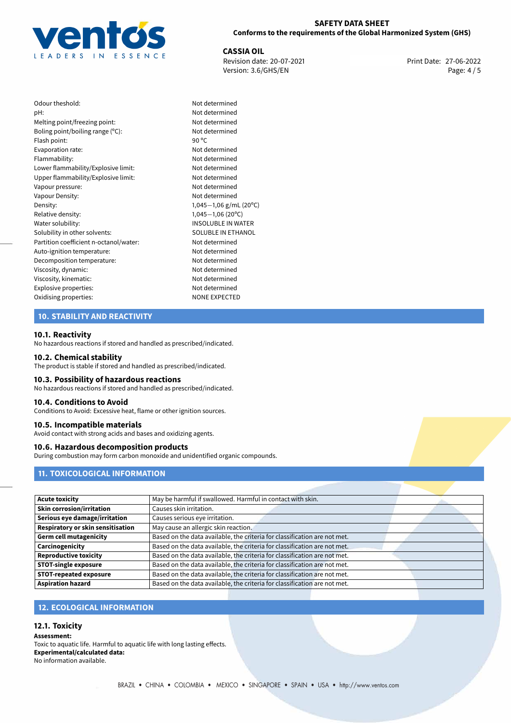

**CASSIA OIL**<br>
Revision date: 20-07-2021 **Print Date: 27-06-2022** Version: 3.6/GHS/EN Page: 4 / 5

| Odour theshold:                        | Not c           |
|----------------------------------------|-----------------|
| pH:                                    | Not c           |
| Melting point/freezing point:          | Not c           |
| Boling point/boiling range $(°C)$ :    | Not c           |
| Flash point:                           | 90 $^{\circ}$ C |
| Evaporation rate:                      | Not c           |
| Flammability:                          | Not c           |
| Lower flammability/Explosive limit:    | Not c           |
| Upper flammability/Explosive limit:    | Not c           |
| Vapour pressure:                       | Not c           |
| Vapour Density:                        | Not c           |
| Density:                               | 1,045           |
| Relative density:                      | 1,045           |
| Water solubility:                      | <b>INSO</b>     |
| Solubility in other solvents:          | SOLL            |
| Partition coefficient n-octanol/water: | Not c           |
| Auto-ignition temperature:             | Not c           |
| Decomposition temperature:             | Not c           |
| Viscosity, dynamic:                    | Not c           |
| Viscosity, kinematic:                  | Not c           |
| Explosive properties:                  | Not c           |
| Oxidising properties:                  | <b>NONI</b>     |
|                                        |                 |

# Not determined Not determined Not determined Not determined Not determined Not determined Upper flammability/Explosive limit: Not determined Not determined Not determined Density: 1,045*−*1,06 g/mL (20ºC) Relative density: 1,045*−*1,06 (20ºC) INSOLUBLE IN WATER SOLUBLE IN ETHANOL Not determined Not determined Not determined Not determined Not determined Not determined **NONE EXPECTED**

Not determined

# **10. STABILITY AND REACTIVITY**

#### **10.1. Reactivity**

No hazardous reactions if stored and handled as prescribed/indicated.

#### **10.2. Chemical stability**

The product is stable if stored and handled as prescribed/indicated.

#### **10.3. Possibility of hazardous reactions**

No hazardous reactions if stored and handled as prescribed/indicated.

#### **10.4. Conditions to Avoid**

Conditions to Avoid: Excessive heat, flame or other ignition sources.

#### **10.5. Incompatible materials**

Avoid contact with strong acids and bases and oxidizing agents.

### **10.6. Hazardous decomposition products**

During combustion may form carbon monoxide and unidentified organic compounds.

# **11. TOXICOLOGICAL INFORMATION**

| <b>Acute toxicity</b>                    | May be harmful if swallowed. Harmful in contact with skin.                |  |
|------------------------------------------|---------------------------------------------------------------------------|--|
| <b>Skin corrosion/irritation</b>         | Causes skin irritation.                                                   |  |
| Serious eye damage/irritation            | Causes serious eye irritation.                                            |  |
| <b>Respiratory or skin sensitisation</b> | May cause an allergic skin reaction.                                      |  |
| <b>Germ cell mutagenicity</b>            | Based on the data available, the criteria for classification are not met. |  |
| Carcinogenicity                          | Based on the data available, the criteria for classification are not met. |  |
| <b>Reproductive toxicity</b>             | Based on the data available, the criteria for classification are not met. |  |
| <b>STOT-single exposure</b>              | Based on the data available, the criteria for classification are not met. |  |
| <b>STOT-repeated exposure</b>            | Based on the data available, the criteria for classification are not met. |  |
| <b>Aspiration hazard</b>                 | Based on the data available, the criteria for classification are not met. |  |

# **12. ECOLOGICAL INFORMATION**

### **12.1. Toxicity**

**Assessment:** Toxic to aquatic life. Harmful to aquatic life with long lasting effects. **Experimental/calculated data:** No information available.